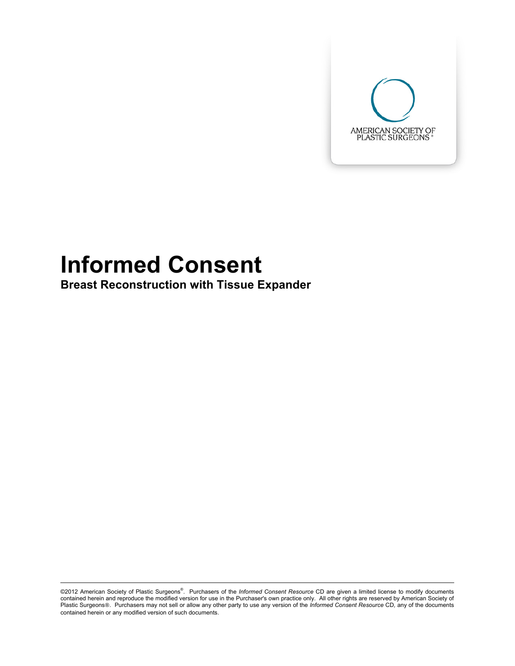

# **Informed Consent**

**Breast Reconstruction with Tissue Expander** 

©2012 American Society of Plastic Surgeons<sup>®</sup>. Purchasers of the *Informed Consent Resource* CD are given a limited license to modify documents contained herein and reproduce the modified version for use in the Purchaser's own practice only. All other rights are reserved by American Society of Plastic Surgeons®. Purchasers may not sell or allow any other party to use any version of the *Informed Consent Resource* CD, any of the documents contained herein or any modified version of such documents.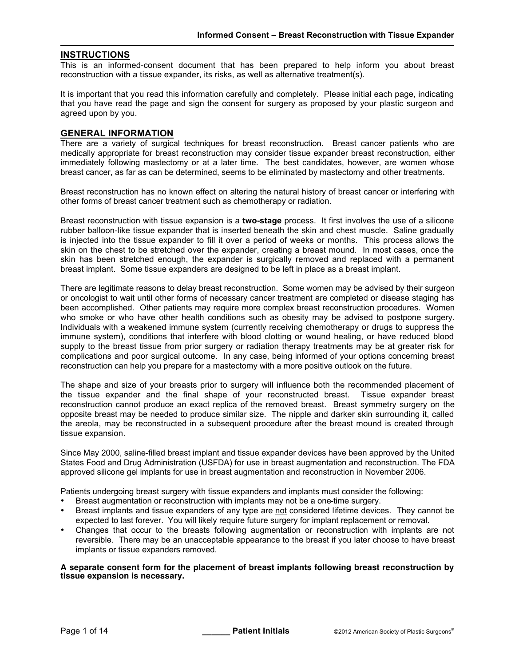#### **INSTRUCTIONS**

This is an informed-consent document that has been prepared to help inform you about breast reconstruction with a tissue expander, its risks, as well as alternative treatment(s).

It is important that you read this information carefully and completely. Please initial each page, indicating that you have read the page and sign the consent for surgery as proposed by your plastic surgeon and agreed upon by you.

#### **GENERAL INFORMATION**

There are a variety of surgical techniques for breast reconstruction. Breast cancer patients who are medically appropriate for breast reconstruction may consider tissue expander breast reconstruction, either immediately following mastectomy or at a later time. The best candidates, however, are women whose breast cancer, as far as can be determined, seems to be eliminated by mastectomy and other treatments.

Breast reconstruction has no known effect on altering the natural history of breast cancer or interfering with other forms of breast cancer treatment such as chemotherapy or radiation.

Breast reconstruction with tissue expansion is a **two-stage** process. It first involves the use of a silicone rubber balloon-like tissue expander that is inserted beneath the skin and chest muscle. Saline gradually is injected into the tissue expander to fill it over a period of weeks or months. This process allows the skin on the chest to be stretched over the expander, creating a breast mound. In most cases, once the skin has been stretched enough, the expander is surgically removed and replaced with a permanent breast implant. Some tissue expanders are designed to be left in place as a breast implant.

There are legitimate reasons to delay breast reconstruction. Some women may be advised by their surgeon or oncologist to wait until other forms of necessary cancer treatment are completed or disease staging has been accomplished. Other patients may require more complex breast reconstruction procedures. Women who smoke or who have other health conditions such as obesity may be advised to postpone surgery. Individuals with a weakened immune system (currently receiving chemotherapy or drugs to suppress the immune system), conditions that interfere with blood clotting or wound healing, or have reduced blood supply to the breast tissue from prior surgery or radiation therapy treatments may be at greater risk for complications and poor surgical outcome. In any case, being informed of your options concerning breast reconstruction can help you prepare for a mastectomy with a more positive outlook on the future.

The shape and size of your breasts prior to surgery will influence both the recommended placement of the tissue expander and the final shape of your reconstructed breast. Tissue expander breast reconstruction cannot produce an exact replica of the removed breast. Breast symmetry surgery on the opposite breast may be needed to produce similar size. The nipple and darker skin surrounding it, called the areola, may be reconstructed in a subsequent procedure after the breast mound is created through tissue expansion.

Since May 2000, saline-filled breast implant and tissue expander devices have been approved by the United States Food and Drug Administration (USFDA) for use in breast augmentation and reconstruction. The FDA approved silicone gel implants for use in breast augmentation and reconstruction in November 2006.

Patients undergoing breast surgery with tissue expanders and implants must consider the following:

- Breast augmentation or reconstruction with implants may not be a one-time surgery.
- Breast implants and tissue expanders of any type are not considered lifetime devices. They cannot be expected to last forever. You will likely require future surgery for implant replacement or removal.
- Changes that occur to the breasts following augmentation or reconstruction with implants are not reversible. There may be an unacceptable appearance to the breast if you later choose to have breast implants or tissue expanders removed.

#### **A separate consent form for the placement of breast implants following breast reconstruction by tissue expansion is necessary.**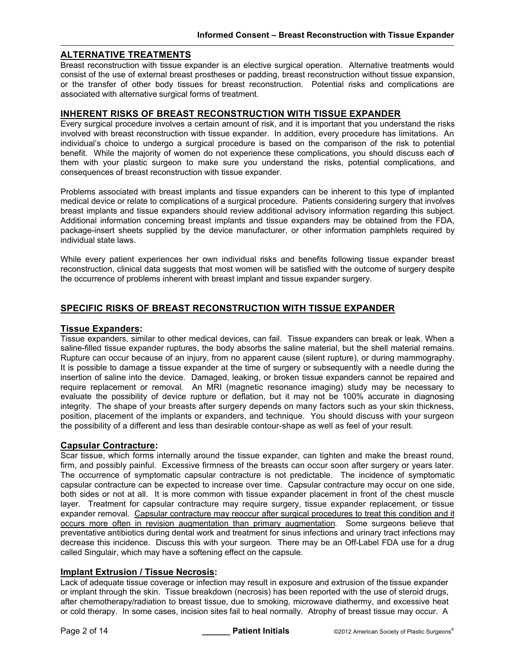# **ALTERNATIVE TREATMENTS**

Breast reconstruction with tissue expander is an elective surgical operation. Alternative treatments would consist of the use of external breast prostheses or padding, breast reconstruction without tissue expansion, or the transfer of other body tissues for breast reconstruction. Potential risks and complications are associated with alternative surgical forms of treatment.

#### **INHERENT RISKS OF BREAST RECONSTRUCTION WITH TISSUE EXPANDER**

Every surgical procedure involves a certain amount of risk, and it is important that you understand the risks involved with breast reconstruction with tissue expander. In addition, every procedure has limitations. An individual's choice to undergo a surgical procedure is based on the comparison of the risk to potential benefit. While the majority of women do not experience these complications, you should discuss each of them with your plastic surgeon to make sure you understand the risks, potential complications, and consequences of breast reconstruction with tissue expander.

Problems associated with breast implants and tissue expanders can be inherent to this type of implanted medical device or relate to complications of a surgical procedure. Patients considering surgery that involves breast implants and tissue expanders should review additional advisory information regarding this subject. Additional information concerning breast implants and tissue expanders may be obtained from the FDA, package-insert sheets supplied by the device manufacturer, or other information pamphlets required by individual state laws.

While every patient experiences her own individual risks and benefits following tissue expander breast reconstruction, clinical data suggests that most women will be satisfied with the outcome of surgery despite the occurrence of problems inherent with breast implant and tissue expander surgery.

# **SPECIFIC RISKS OF BREAST RECONSTRUCTION WITH TISSUE EXPANDER**

#### **Tissue Expanders:**

Tissue expanders, similar to other medical devices, can fail. Tissue expanders can break or leak. When a saline-filled tissue expander ruptures, the body absorbs the saline material, but the shell material remains. Rupture can occur because of an injury, from no apparent cause (silent rupture), or during mammography. It is possible to damage a tissue expander at the time of surgery or subsequently with a needle during the insertion of saline into the device. Damaged, leaking, or broken tissue expanders cannot be repaired and require replacement or removal. An MRI (magnetic resonance imaging) study may be necessary to evaluate the possibility of device rupture or deflation, but it may not be 100% accurate in diagnosing integrity. The shape of your breasts after surgery depends on many factors such as your skin thickness, position, placement of the implants or expanders, and technique. You should discuss with your surgeon the possibility of a different and less than desirable contour-shape as well as feel of your result.

#### **Capsular Contracture:**

Scar tissue, which forms internally around the tissue expander, can tighten and make the breast round, firm, and possibly painful. Excessive firmness of the breasts can occur soon after surgery or years later. The occurrence of symptomatic capsular contracture is not predictable. The incidence of symptomatic capsular contracture can be expected to increase over time. Capsular contracture may occur on one side, both sides or not at all. It is more common with tissue expander placement in front of the chest muscle layer. Treatment for capsular contracture may require surgery, tissue expander replacement, or tissue expander removal. Capsular contracture may reoccur after surgical procedures to treat this condition and it occurs more often in revision augmentation than primary augmentation. Some surgeons believe that preventative antibiotics during dental work and treatment for sinus infections and urinary tract infections may decrease this incidence. Discuss this with your surgeon. There may be an Off-Label FDA use for a drug called Singulair, which may have a softening effect on the capsule.

#### **Implant Extrusion / Tissue Necrosis:**

Lack of adequate tissue coverage or infection may result in exposure and extrusion of the tissue expander or implant through the skin. Tissue breakdown (necrosis) has been reported with the use of steroid drugs, after chemotherapy/radiation to breast tissue, due to smoking, microwave diathermy, and excessive heat or cold therapy. In some cases, incision sites fail to heal normally. Atrophy of breast tissue may occur. A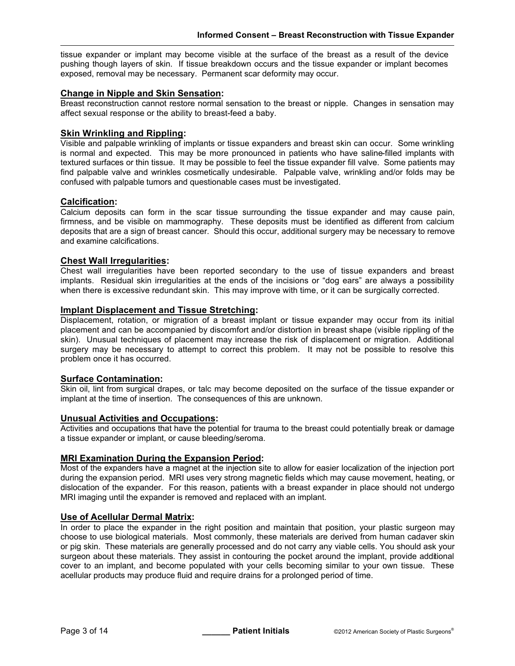tissue expander or implant may become visible at the surface of the breast as a result of the device pushing though layers of skin. If tissue breakdown occurs and the tissue expander or implant becomes exposed, removal may be necessary. Permanent scar deformity may occur.

#### **Change in Nipple and Skin Sensation:**

Breast reconstruction cannot restore normal sensation to the breast or nipple. Changes in sensation may affect sexual response or the ability to breast-feed a baby.

#### **Skin Wrinkling and Rippling:**

Visible and palpable wrinkling of implants or tissue expanders and breast skin can occur. Some wrinkling is normal and expected. This may be more pronounced in patients who have saline-filled implants with textured surfaces or thin tissue. It may be possible to feel the tissue expander fill valve. Some patients may find palpable valve and wrinkles cosmetically undesirable. Palpable valve, wrinkling and/or folds may be confused with palpable tumors and questionable cases must be investigated.

#### **Calcification:**

Calcium deposits can form in the scar tissue surrounding the tissue expander and may cause pain, firmness, and be visible on mammography. These deposits must be identified as different from calcium deposits that are a sign of breast cancer. Should this occur, additional surgery may be necessary to remove and examine calcifications.

# **Chest Wall Irregularities:**

Chest wall irregularities have been reported secondary to the use of tissue expanders and breast implants. Residual skin irregularities at the ends of the incisions or "dog ears" are always a possibility when there is excessive redundant skin. This may improve with time, or it can be surgically corrected.

#### **Implant Displacement and Tissue Stretching:**

Displacement, rotation, or migration of a breast implant or tissue expander may occur from its initial placement and can be accompanied by discomfort and/or distortion in breast shape (visible rippling of the skin). Unusual techniques of placement may increase the risk of displacement or migration. Additional surgery may be necessary to attempt to correct this problem. It may not be possible to resolve this problem once it has occurred.

#### **Surface Contamination:**

Skin oil, lint from surgical drapes, or talc may become deposited on the surface of the tissue expander or implant at the time of insertion. The consequences of this are unknown.

#### **Unusual Activities and Occupations:**

Activities and occupations that have the potential for trauma to the breast could potentially break or damage a tissue expander or implant, or cause bleeding/seroma.

#### **MRI Examination During the Expansion Period:**

Most of the expanders have a magnet at the injection site to allow for easier localization of the injection port during the expansion period. MRI uses very strong magnetic fields which may cause movement, heating, or dislocation of the expander. For this reason, patients with a breast expander in place should not undergo MRI imaging until the expander is removed and replaced with an implant.

# **Use of Acellular Dermal Matrix:**

In order to place the expander in the right position and maintain that position, your plastic surgeon may choose to use biological materials. Most commonly, these materials are derived from human cadaver skin or pig skin. These materials are generally processed and do not carry any viable cells. You should ask your surgeon about these materials. They assist in contouring the pocket around the implant, provide additional cover to an implant, and become populated with your cells becoming similar to your own tissue. These acellular products may produce fluid and require drains for a prolonged period of time.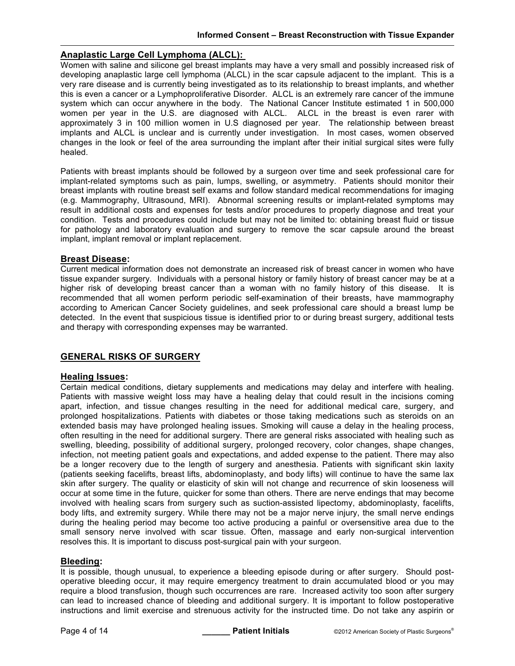# **Anaplastic Large Cell Lymphoma (ALCL):**

Women with saline and silicone gel breast implants may have a very small and possibly increased risk of developing anaplastic large cell lymphoma (ALCL) in the scar capsule adjacent to the implant. This is a very rare disease and is currently being investigated as to its relationship to breast implants, and whether this is even a cancer or a Lymphoproliferative Disorder. ALCL is an extremely rare cancer of the immune system which can occur anywhere in the body. The National Cancer Institute estimated 1 in 500,000 women per year in the U.S. are diagnosed with ALCL. ALCL in the breast is even rarer with approximately 3 in 100 million women in U.S diagnosed per year. The relationship between breast implants and ALCL is unclear and is currently under investigation. In most cases, women observed changes in the look or feel of the area surrounding the implant after their initial surgical sites were fully healed.

Patients with breast implants should be followed by a surgeon over time and seek professional care for implant-related symptoms such as pain, lumps, swelling, or asymmetry. Patients should monitor their breast implants with routine breast self exams and follow standard medical recommendations for imaging (e.g. Mammography, Ultrasound, MRI). Abnormal screening results or implant-related symptoms may result in additional costs and expenses for tests and/or procedures to properly diagnose and treat your condition. Tests and procedures could include but may not be limited to: obtaining breast fluid or tissue for pathology and laboratory evaluation and surgery to remove the scar capsule around the breast implant, implant removal or implant replacement.

#### **Breast Disease:**

Current medical information does not demonstrate an increased risk of breast cancer in women who have tissue expander surgery. Individuals with a personal history or family history of breast cancer may be at a higher risk of developing breast cancer than a woman with no family history of this disease. It is recommended that all women perform periodic self-examination of their breasts, have mammography according to American Cancer Society guidelines, and seek professional care should a breast lump be detected. In the event that suspicious tissue is identified prior to or during breast surgery, additional tests and therapy with corresponding expenses may be warranted.

# **GENERAL RISKS OF SURGERY**

#### **Healing Issues:**

Certain medical conditions, dietary supplements and medications may delay and interfere with healing. Patients with massive weight loss may have a healing delay that could result in the incisions coming apart, infection, and tissue changes resulting in the need for additional medical care, surgery, and prolonged hospitalizations. Patients with diabetes or those taking medications such as steroids on an extended basis may have prolonged healing issues. Smoking will cause a delay in the healing process, often resulting in the need for additional surgery. There are general risks associated with healing such as swelling, bleeding, possibility of additional surgery, prolonged recovery, color changes, shape changes, infection, not meeting patient goals and expectations, and added expense to the patient. There may also be a longer recovery due to the length of surgery and anesthesia. Patients with significant skin laxity (patients seeking facelifts, breast lifts, abdominoplasty, and body lifts) will continue to have the same lax skin after surgery. The quality or elasticity of skin will not change and recurrence of skin looseness will occur at some time in the future, quicker for some than others. There are nerve endings that may become involved with healing scars from surgery such as suction-assisted lipectomy, abdominoplasty, facelifts, body lifts, and extremity surgery. While there may not be a major nerve injury, the small nerve endings during the healing period may become too active producing a painful or oversensitive area due to the small sensory nerve involved with scar tissue. Often, massage and early non-surgical intervention resolves this. It is important to discuss post-surgical pain with your surgeon.

#### **Bleeding:**

It is possible, though unusual, to experience a bleeding episode during or after surgery. Should postoperative bleeding occur, it may require emergency treatment to drain accumulated blood or you may require a blood transfusion, though such occurrences are rare. Increased activity too soon after surgery can lead to increased chance of bleeding and additional surgery. It is important to follow postoperative instructions and limit exercise and strenuous activity for the instructed time. Do not take any aspirin or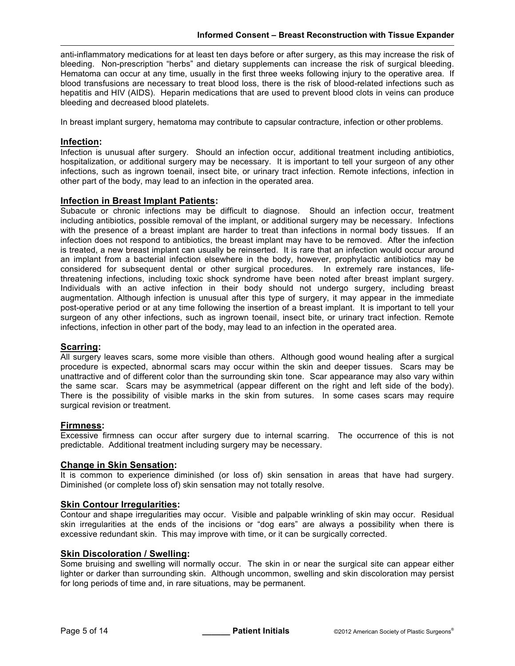anti-inflammatory medications for at least ten days before or after surgery, as this may increase the risk of bleeding. Non-prescription "herbs" and dietary supplements can increase the risk of surgical bleeding. Hematoma can occur at any time, usually in the first three weeks following injury to the operative area. If blood transfusions are necessary to treat blood loss, there is the risk of blood-related infections such as hepatitis and HIV (AIDS). Heparin medications that are used to prevent blood clots in veins can produce bleeding and decreased blood platelets.

In breast implant surgery, hematoma may contribute to capsular contracture, infection or other problems.

#### **Infection:**

Infection is unusual after surgery. Should an infection occur, additional treatment including antibiotics, hospitalization, or additional surgery may be necessary. It is important to tell your surgeon of any other infections, such as ingrown toenail, insect bite, or urinary tract infection. Remote infections, infection in other part of the body, may lead to an infection in the operated area.

#### **Infection in Breast Implant Patients:**

Subacute or chronic infections may be difficult to diagnose. Should an infection occur, treatment including antibiotics, possible removal of the implant, or additional surgery may be necessary. Infections with the presence of a breast implant are harder to treat than infections in normal body tissues. If an infection does not respond to antibiotics, the breast implant may have to be removed. After the infection is treated, a new breast implant can usually be reinserted. It is rare that an infection would occur around an implant from a bacterial infection elsewhere in the body, however, prophylactic antibiotics may be considered for subsequent dental or other surgical procedures. In extremely rare instances, lifethreatening infections, including toxic shock syndrome have been noted after breast implant surgery. Individuals with an active infection in their body should not undergo surgery, including breast augmentation. Although infection is unusual after this type of surgery, it may appear in the immediate post-operative period or at any time following the insertion of a breast implant. It is important to tell your surgeon of any other infections, such as ingrown toenail, insect bite, or urinary tract infection. Remote infections, infection in other part of the body, may lead to an infection in the operated area.

# **Scarring:**

All surgery leaves scars, some more visible than others. Although good wound healing after a surgical procedure is expected, abnormal scars may occur within the skin and deeper tissues. Scars may be unattractive and of different color than the surrounding skin tone. Scar appearance may also vary within the same scar. Scars may be asymmetrical (appear different on the right and left side of the body). There is the possibility of visible marks in the skin from sutures. In some cases scars may require surgical revision or treatment.

#### **Firmness:**

Excessive firmness can occur after surgery due to internal scarring. The occurrence of this is not predictable. Additional treatment including surgery may be necessary.

#### **Change in Skin Sensation:**

It is common to experience diminished (or loss of) skin sensation in areas that have had surgery. Diminished (or complete loss of) skin sensation may not totally resolve.

#### **Skin Contour Irregularities:**

Contour and shape irregularities may occur. Visible and palpable wrinkling of skin may occur. Residual skin irregularities at the ends of the incisions or "dog ears" are always a possibility when there is excessive redundant skin. This may improve with time, or it can be surgically corrected.

#### **Skin Discoloration / Swelling:**

Some bruising and swelling will normally occur. The skin in or near the surgical site can appear either lighter or darker than surrounding skin. Although uncommon, swelling and skin discoloration may persist for long periods of time and, in rare situations, may be permanent.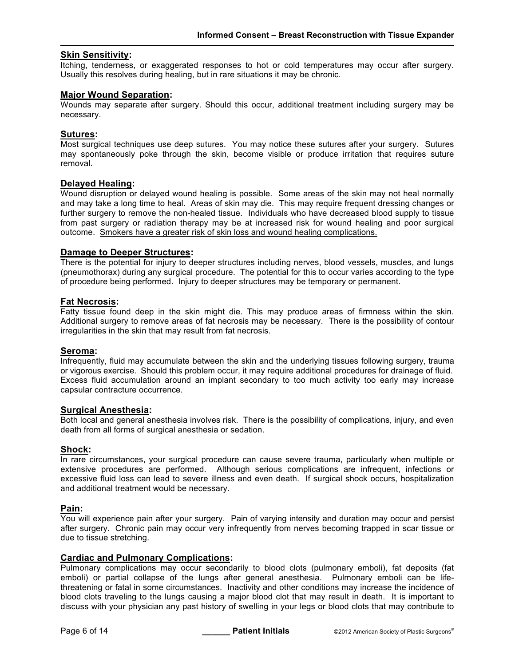#### **Skin Sensitivity:**

Itching, tenderness, or exaggerated responses to hot or cold temperatures may occur after surgery. Usually this resolves during healing, but in rare situations it may be chronic.

#### **Major Wound Separation:**

Wounds may separate after surgery. Should this occur, additional treatment including surgery may be necessary.

#### **Sutures:**

Most surgical techniques use deep sutures. You may notice these sutures after your surgery. Sutures may spontaneously poke through the skin, become visible or produce irritation that requires suture removal.

#### **Delayed Healing:**

Wound disruption or delayed wound healing is possible. Some areas of the skin may not heal normally and may take a long time to heal. Areas of skin may die. This may require frequent dressing changes or further surgery to remove the non-healed tissue. Individuals who have decreased blood supply to tissue from past surgery or radiation therapy may be at increased risk for wound healing and poor surgical outcome. Smokers have a greater risk of skin loss and wound healing complications.

#### **Damage to Deeper Structures:**

There is the potential for injury to deeper structures including nerves, blood vessels, muscles, and lungs (pneumothorax) during any surgical procedure. The potential for this to occur varies according to the type of procedure being performed. Injury to deeper structures may be temporary or permanent.

#### **Fat Necrosis:**

Fatty tissue found deep in the skin might die. This may produce areas of firmness within the skin. Additional surgery to remove areas of fat necrosis may be necessary. There is the possibility of contour irregularities in the skin that may result from fat necrosis.

#### **Seroma:**

Infrequently, fluid may accumulate between the skin and the underlying tissues following surgery, trauma or vigorous exercise. Should this problem occur, it may require additional procedures for drainage of fluid. Excess fluid accumulation around an implant secondary to too much activity too early may increase capsular contracture occurrence.

#### **Surgical Anesthesia:**

Both local and general anesthesia involves risk. There is the possibility of complications, injury, and even death from all forms of surgical anesthesia or sedation.

#### **Shock:**

In rare circumstances, your surgical procedure can cause severe trauma, particularly when multiple or extensive procedures are performed. Although serious complications are infrequent, infections or excessive fluid loss can lead to severe illness and even death. If surgical shock occurs, hospitalization and additional treatment would be necessary.

#### **Pain:**

You will experience pain after your surgery. Pain of varying intensity and duration may occur and persist after surgery. Chronic pain may occur very infrequently from nerves becoming trapped in scar tissue or due to tissue stretching.

# **Cardiac and Pulmonary Complications:**

Pulmonary complications may occur secondarily to blood clots (pulmonary emboli), fat deposits (fat emboli) or partial collapse of the lungs after general anesthesia. Pulmonary emboli can be lifethreatening or fatal in some circumstances. Inactivity and other conditions may increase the incidence of blood clots traveling to the lungs causing a major blood clot that may result in death. It is important to discuss with your physician any past history of swelling in your legs or blood clots that may contribute to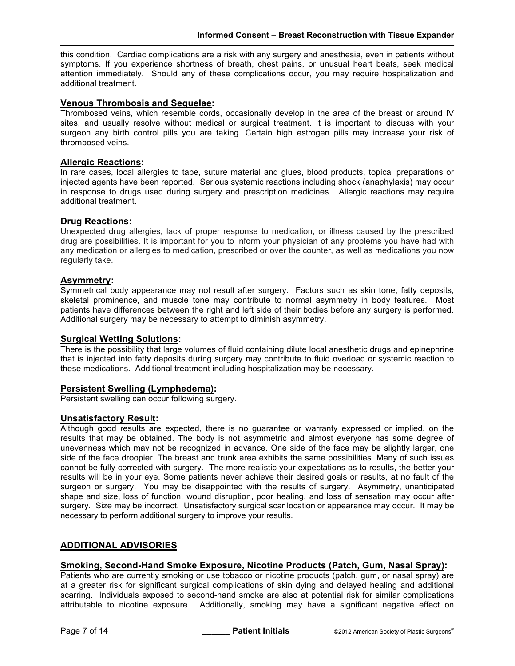this condition. Cardiac complications are a risk with any surgery and anesthesia, even in patients without symptoms. If you experience shortness of breath, chest pains, or unusual heart beats, seek medical attention immediately. Should any of these complications occur, you may require hospitalization and additional treatment.

# **Venous Thrombosis and Sequelae:**

Thrombosed veins, which resemble cords, occasionally develop in the area of the breast or around IV sites, and usually resolve without medical or surgical treatment. It is important to discuss with your surgeon any birth control pills you are taking. Certain high estrogen pills may increase your risk of thrombosed veins.

#### **Allergic Reactions:**

In rare cases, local allergies to tape, suture material and glues, blood products, topical preparations or injected agents have been reported. Serious systemic reactions including shock (anaphylaxis) may occur in response to drugs used during surgery and prescription medicines. Allergic reactions may require additional treatment.

#### **Drug Reactions:**

Unexpected drug allergies, lack of proper response to medication, or illness caused by the prescribed drug are possibilities. It is important for you to inform your physician of any problems you have had with any medication or allergies to medication, prescribed or over the counter, as well as medications you now regularly take.

# **Asymmetry:**

Symmetrical body appearance may not result after surgery. Factors such as skin tone, fatty deposits, skeletal prominence, and muscle tone may contribute to normal asymmetry in body features. Most patients have differences between the right and left side of their bodies before any surgery is performed. Additional surgery may be necessary to attempt to diminish asymmetry.

#### **Surgical Wetting Solutions:**

There is the possibility that large volumes of fluid containing dilute local anesthetic drugs and epinephrine that is injected into fatty deposits during surgery may contribute to fluid overload or systemic reaction to these medications. Additional treatment including hospitalization may be necessary.

#### **Persistent Swelling (Lymphedema):**

Persistent swelling can occur following surgery.

#### **Unsatisfactory Result:**

Although good results are expected, there is no guarantee or warranty expressed or implied, on the results that may be obtained. The body is not asymmetric and almost everyone has some degree of unevenness which may not be recognized in advance. One side of the face may be slightly larger, one side of the face droopier. The breast and trunk area exhibits the same possibilities. Many of such issues cannot be fully corrected with surgery. The more realistic your expectations as to results, the better your results will be in your eye. Some patients never achieve their desired goals or results, at no fault of the surgeon or surgery. You may be disappointed with the results of surgery. Asymmetry, unanticipated shape and size, loss of function, wound disruption, poor healing, and loss of sensation may occur after surgery. Size may be incorrect. Unsatisfactory surgical scar location or appearance may occur. It may be necessary to perform additional surgery to improve your results.

# **ADDITIONAL ADVISORIES**

# **Smoking, Second-Hand Smoke Exposure, Nicotine Products (Patch, Gum, Nasal Spray):**

Patients who are currently smoking or use tobacco or nicotine products (patch, gum, or nasal spray) are at a greater risk for significant surgical complications of skin dying and delayed healing and additional scarring. Individuals exposed to second-hand smoke are also at potential risk for similar complications attributable to nicotine exposure. Additionally, smoking may have a significant negative effect on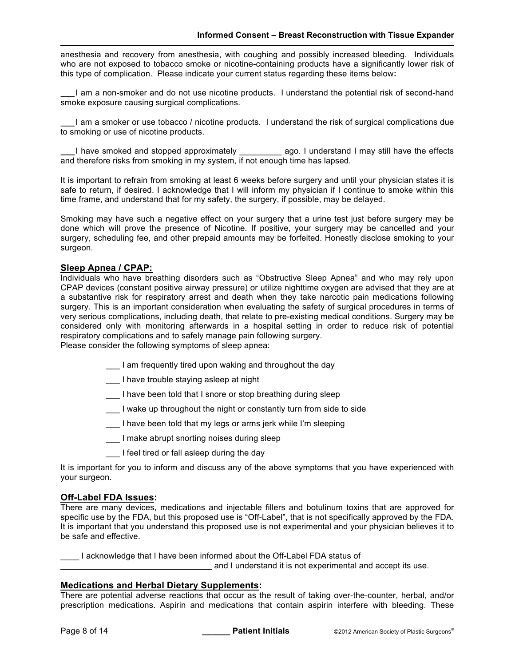anesthesia and recovery from anesthesia, with coughing and possibly increased bleeding. Individuals who are not exposed to tobacco smoke or nicotine-containing products have a significantly lower risk of this type of complication. Please indicate your current status regarding these items below**:**

**\_\_\_**I am a non-smoker and do not use nicotine products. I understand the potential risk of second-hand smoke exposure causing surgical complications.

**\_\_\_**I am a smoker or use tobacco / nicotine products. I understand the risk of surgical complications due to smoking or use of nicotine products.

**\_\_\_**I have smoked and stopped approximately \_\_\_\_\_\_\_\_\_ ago. I understand I may still have the effects and therefore risks from smoking in my system, if not enough time has lapsed.

It is important to refrain from smoking at least 6 weeks before surgery and until your physician states it is safe to return, if desired. I acknowledge that I will inform my physician if I continue to smoke within this time frame, and understand that for my safety, the surgery, if possible, may be delayed.

Smoking may have such a negative effect on your surgery that a urine test just before surgery may be done which will prove the presence of Nicotine. If positive, your surgery may be cancelled and your surgery, scheduling fee, and other prepaid amounts may be forfeited. Honestly disclose smoking to your surgeon.

# **Sleep Apnea / CPAP:**

Individuals who have breathing disorders such as "Obstructive Sleep Apnea" and who may rely upon CPAP devices (constant positive airway pressure) or utilize nighttime oxygen are advised that they are at a substantive risk for respiratory arrest and death when they take narcotic pain medications following surgery. This is an important consideration when evaluating the safety of surgical procedures in terms of very serious complications, including death, that relate to pre-existing medical conditions. Surgery may be considered only with monitoring afterwards in a hospital setting in order to reduce risk of potential respiratory complications and to safely manage pain following surgery.

Please consider the following symptoms of sleep apnea:

- \_\_\_ I am frequently tired upon waking and throughout the day
- I have trouble staying asleep at night
- \_\_\_ I have been told that I snore or stop breathing during sleep
- \_\_\_ I wake up throughout the night or constantly turn from side to side
- \_\_\_ I have been told that my legs or arms jerk while I'm sleeping
- \_\_\_ I make abrupt snorting noises during sleep
- \_\_\_ I feel tired or fall asleep during the day

It is important for you to inform and discuss any of the above symptoms that you have experienced with your surgeon.

#### **Off-Label FDA Issues:**

There are many devices, medications and injectable fillers and botulinum toxins that are approved for specific use by the FDA, but this proposed use is "Off-Label", that is not specifically approved by the FDA. It is important that you understand this proposed use is not experimental and your physician believes it to be safe and effective.

I acknowledge that I have been informed about the Off-Label FDA status of

and I understand it is not experimental and accept its use.

# **Medications and Herbal Dietary Supplements:**

There are potential adverse reactions that occur as the result of taking over-the-counter, herbal, and/or prescription medications. Aspirin and medications that contain aspirin interfere with bleeding. These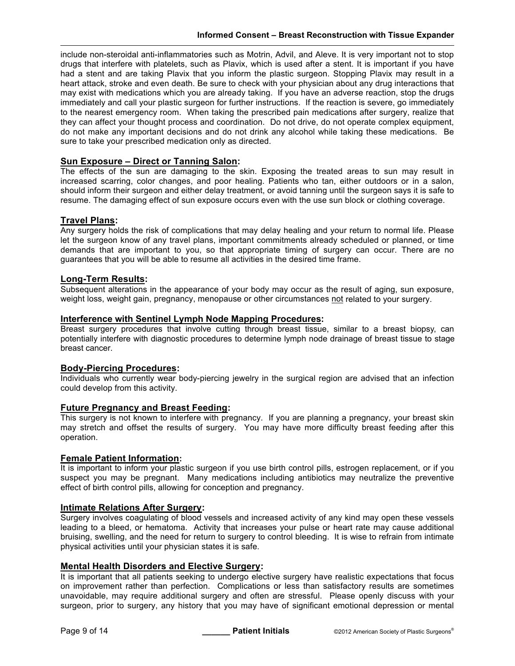include non-steroidal anti-inflammatories such as Motrin, Advil, and Aleve. It is very important not to stop drugs that interfere with platelets, such as Plavix, which is used after a stent. It is important if you have had a stent and are taking Plavix that you inform the plastic surgeon. Stopping Plavix may result in a heart attack, stroke and even death. Be sure to check with your physician about any drug interactions that may exist with medications which you are already taking. If you have an adverse reaction, stop the drugs immediately and call your plastic surgeon for further instructions. If the reaction is severe, go immediately to the nearest emergency room. When taking the prescribed pain medications after surgery, realize that they can affect your thought process and coordination. Do not drive, do not operate complex equipment, do not make any important decisions and do not drink any alcohol while taking these medications. Be sure to take your prescribed medication only as directed.

# **Sun Exposure – Direct or Tanning Salon:**

The effects of the sun are damaging to the skin. Exposing the treated areas to sun may result in increased scarring, color changes, and poor healing. Patients who tan, either outdoors or in a salon, should inform their surgeon and either delay treatment, or avoid tanning until the surgeon says it is safe to resume. The damaging effect of sun exposure occurs even with the use sun block or clothing coverage.

# **Travel Plans:**

Any surgery holds the risk of complications that may delay healing and your return to normal life. Please let the surgeon know of any travel plans, important commitments already scheduled or planned, or time demands that are important to you, so that appropriate timing of surgery can occur. There are no guarantees that you will be able to resume all activities in the desired time frame.

# **Long-Term Results:**

Subsequent alterations in the appearance of your body may occur as the result of aging, sun exposure, weight loss, weight gain, pregnancy, menopause or other circumstances not related to your surgery.

# **Interference with Sentinel Lymph Node Mapping Procedures:**

Breast surgery procedures that involve cutting through breast tissue, similar to a breast biopsy, can potentially interfere with diagnostic procedures to determine lymph node drainage of breast tissue to stage breast cancer.

# **Body-Piercing Procedures:**

Individuals who currently wear body-piercing jewelry in the surgical region are advised that an infection could develop from this activity.

# **Future Pregnancy and Breast Feeding:**

This surgery is not known to interfere with pregnancy. If you are planning a pregnancy, your breast skin may stretch and offset the results of surgery. You may have more difficulty breast feeding after this operation.

# **Female Patient Information:**

It is important to inform your plastic surgeon if you use birth control pills, estrogen replacement, or if you suspect you may be pregnant. Many medications including antibiotics may neutralize the preventive effect of birth control pills, allowing for conception and pregnancy.

# **Intimate Relations After Surgery:**

Surgery involves coagulating of blood vessels and increased activity of any kind may open these vessels leading to a bleed, or hematoma. Activity that increases your pulse or heart rate may cause additional bruising, swelling, and the need for return to surgery to control bleeding. It is wise to refrain from intimate physical activities until your physician states it is safe.

# **Mental Health Disorders and Elective Surgery:**

It is important that all patients seeking to undergo elective surgery have realistic expectations that focus on improvement rather than perfection. Complications or less than satisfactory results are sometimes unavoidable, may require additional surgery and often are stressful. Please openly discuss with your surgeon, prior to surgery, any history that you may have of significant emotional depression or mental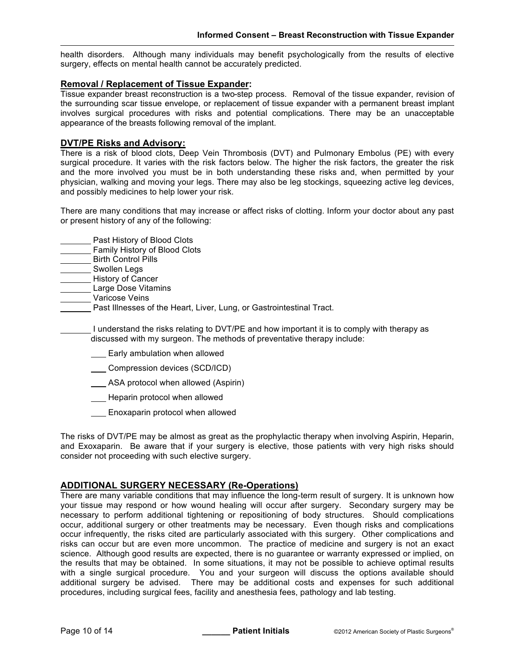health disorders. Although many individuals may benefit psychologically from the results of elective surgery, effects on mental health cannot be accurately predicted.

#### **Removal / Replacement of Tissue Expander:**

Tissue expander breast reconstruction is a two-step process. Removal of the tissue expander, revision of the surrounding scar tissue envelope, or replacement of tissue expander with a permanent breast implant involves surgical procedures with risks and potential complications. There may be an unacceptable appearance of the breasts following removal of the implant.

#### **DVT/PE Risks and Advisory:**

There is a risk of blood clots, Deep Vein Thrombosis (DVT) and Pulmonary Embolus (PE) with every surgical procedure. It varies with the risk factors below. The higher the risk factors, the greater the risk and the more involved you must be in both understanding these risks and, when permitted by your physician, walking and moving your legs. There may also be leg stockings, squeezing active leg devices, and possibly medicines to help lower your risk.

There are many conditions that may increase or affect risks of clotting. Inform your doctor about any past or present history of any of the following:

- **Past History of Blood Clots**
- **Family History of Blood Clots**
- Birth Control Pills
- Swollen Legs
- History of Cancer
- Large Dose Vitamins
- **Waricose Veins** 
	- **Past Illnesses of the Heart, Liver, Lung, or Gastrointestinal Tract.**

I understand the risks relating to DVT/PE and how important it is to comply with therapy as discussed with my surgeon. The methods of preventative therapy include:

- Early ambulation when allowed
- Compression devices (SCD/ICD)
- **ASA** protocol when allowed (Aspirin)
- **Heparin protocol when allowed**
- **Enoxaparin protocol when allowed**

The risks of DVT/PE may be almost as great as the prophylactic therapy when involving Aspirin, Heparin, and Exoxaparin. Be aware that if your surgery is elective, those patients with very high risks should consider not proceeding with such elective surgery.

# **ADDITIONAL SURGERY NECESSARY (Re-Operations)**

There are many variable conditions that may influence the long-term result of surgery. It is unknown how your tissue may respond or how wound healing will occur after surgery. Secondary surgery may be necessary to perform additional tightening or repositioning of body structures. Should complications occur, additional surgery or other treatments may be necessary. Even though risks and complications occur infrequently, the risks cited are particularly associated with this surgery. Other complications and risks can occur but are even more uncommon. The practice of medicine and surgery is not an exact science. Although good results are expected, there is no guarantee or warranty expressed or implied, on the results that may be obtained. In some situations, it may not be possible to achieve optimal results with a single surgical procedure. You and your surgeon will discuss the options available should additional surgery be advised. There may be additional costs and expenses for such additional procedures, including surgical fees, facility and anesthesia fees, pathology and lab testing.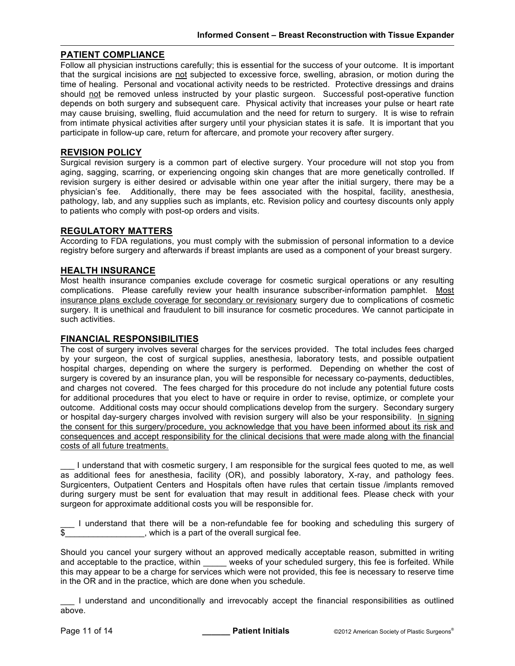# **PATIENT COMPLIANCE**

Follow all physician instructions carefully; this is essential for the success of your outcome. It is important that the surgical incisions are not subjected to excessive force, swelling, abrasion, or motion during the time of healing. Personal and vocational activity needs to be restricted. Protective dressings and drains should not be removed unless instructed by your plastic surgeon. Successful post-operative function depends on both surgery and subsequent care. Physical activity that increases your pulse or heart rate may cause bruising, swelling, fluid accumulation and the need for return to surgery. It is wise to refrain from intimate physical activities after surgery until your physician states it is safe. It is important that you participate in follow-up care, return for aftercare, and promote your recovery after surgery.

#### **REVISION POLICY**

Surgical revision surgery is a common part of elective surgery. Your procedure will not stop you from aging, sagging, scarring, or experiencing ongoing skin changes that are more genetically controlled. If revision surgery is either desired or advisable within one year after the initial surgery, there may be a physician's fee. Additionally, there may be fees associated with the hospital, facility, anesthesia, pathology, lab, and any supplies such as implants, etc. Revision policy and courtesy discounts only apply to patients who comply with post-op orders and visits.

#### **REGULATORY MATTERS**

According to FDA regulations, you must comply with the submission of personal information to a device registry before surgery and afterwards if breast implants are used as a component of your breast surgery.

#### **HEALTH INSURANCE**

Most health insurance companies exclude coverage for cosmetic surgical operations or any resulting complications. Please carefully review your health insurance subscriber-information pamphlet. Most insurance plans exclude coverage for secondary or revisionary surgery due to complications of cosmetic surgery. It is unethical and fraudulent to bill insurance for cosmetic procedures. We cannot participate in such activities.

#### **FINANCIAL RESPONSIBILITIES**

The cost of surgery involves several charges for the services provided. The total includes fees charged by your surgeon, the cost of surgical supplies, anesthesia, laboratory tests, and possible outpatient hospital charges, depending on where the surgery is performed. Depending on whether the cost of surgery is covered by an insurance plan, you will be responsible for necessary co-payments, deductibles, and charges not covered. The fees charged for this procedure do not include any potential future costs for additional procedures that you elect to have or require in order to revise, optimize, or complete your outcome. Additional costs may occur should complications develop from the surgery. Secondary surgery or hospital day-surgery charges involved with revision surgery will also be your responsibility. In signing the consent for this surgery/procedure, you acknowledge that you have been informed about its risk and consequences and accept responsibility for the clinical decisions that were made along with the financial costs of all future treatments.

\_\_\_ I understand that with cosmetic surgery, I am responsible for the surgical fees quoted to me, as well as additional fees for anesthesia, facility (OR), and possibly laboratory, X-ray, and pathology fees. Surgicenters, Outpatient Centers and Hospitals often have rules that certain tissue /implants removed during surgery must be sent for evaluation that may result in additional fees. Please check with your surgeon for approximate additional costs you will be responsible for.

\_\_\_ I understand that there will be a non-refundable fee for booking and scheduling this surgery of  $\blacksquare$ , which is a part of the overall surgical fee.

Should you cancel your surgery without an approved medically acceptable reason, submitted in writing and acceptable to the practice, within \_\_\_\_\_ weeks of your scheduled surgery, this fee is forfeited. While this may appear to be a charge for services which were not provided, this fee is necessary to reserve time in the OR and in the practice, which are done when you schedule.

\_\_\_ I understand and unconditionally and irrevocably accept the financial responsibilities as outlined above.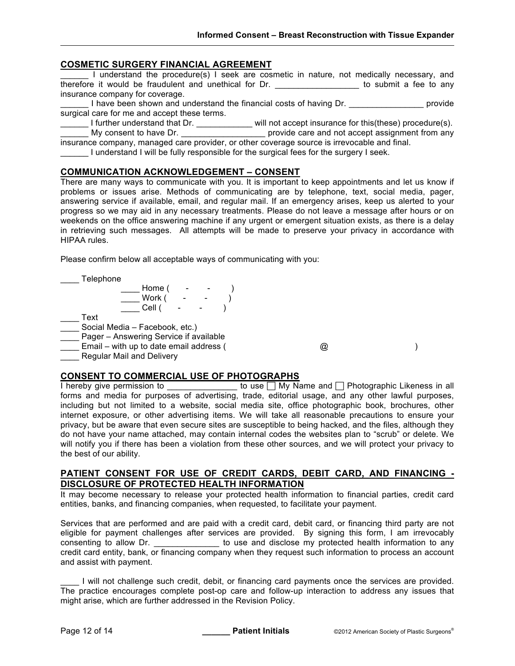#### **COSMETIC SURGERY FINANCIAL AGREEMENT**

\_\_\_\_\_\_ I understand the procedure(s) I seek are cosmetic in nature, not medically necessary, and therefore it would be fraudulent and unethical for Dr. \_\_\_\_\_\_\_\_\_\_\_\_\_\_\_\_\_\_ to submit a fee to any insurance company for coverage.

I have been shown and understand the financial costs of having Dr. \_\_\_\_\_\_\_\_\_\_\_\_\_\_\_\_\_\_\_ provide surgical care for me and accept these terms.

\_\_\_\_\_\_ I further understand that Dr. \_\_\_\_\_\_\_\_\_\_\_\_ will not accept insurance for this(these) procedure(s).

**WEIGHT MY CONSERVITE CONSERVITE:** DETERMINING CARRY DRIVER AND MY CONSERVITED MY CONSERVITED AND DRIVER AND DRIV

insurance company, managed care provider, or other coverage source is irrevocable and final. I understand I will be fully responsible for the surgical fees for the surgery I seek.

#### **COMMUNICATION ACKNOWLEDGEMENT – CONSENT**

There are many ways to communicate with you. It is important to keep appointments and let us know if problems or issues arise. Methods of communicating are by telephone, text, social media, pager, answering service if available, email, and regular mail. If an emergency arises, keep us alerted to your progress so we may aid in any necessary treatments. Please do not leave a message after hours or on weekends on the office answering machine if any urgent or emergent situation exists, as there is a delay in retrieving such messages. All attempts will be made to preserve your privacy in accordance with HIPAA rules.

Please confirm below all acceptable ways of communicating with you:

\_\_\_\_ Telephone \_\_\_\_ Home ( - - ) \_\_\_\_ Work ( - - ) \_\_\_\_ Cell ( - - )  $\overline{\phantom{0}}$  Text Social Media – Facebook, etc.) **Lacky** Pager – Answering Service if available Let U Email – with up to date email address ( and the U  $\omega$  ) **EXECUTE:** Regular Mail and Delivery

# **CONSENT TO COMMERCIAL USE OF PHOTOGRAPHS**

I hereby give permission to \_\_\_\_\_\_\_\_\_\_\_\_\_\_\_\_ to use  $\Box$  My Name and  $\Box$  Photographic Likeness in all forms and media for purposes of advertising, trade, editorial usage, and any other lawful purposes, including but not limited to a website, social media site, office photographic book, brochures, other internet exposure, or other advertising items. We will take all reasonable precautions to ensure your privacy, but be aware that even secure sites are susceptible to being hacked, and the files, although they do not have your name attached, may contain internal codes the websites plan to "scrub" or delete. We will notify you if there has been a violation from these other sources, and we will protect your privacy to the best of our ability.

#### **PATIENT CONSENT FOR USE OF CREDIT CARDS, DEBIT CARD, AND FINANCING - DISCLOSURE OF PROTECTED HEALTH INFORMATION**

It may become necessary to release your protected health information to financial parties, credit card entities, banks, and financing companies, when requested, to facilitate your payment.

Services that are performed and are paid with a credit card, debit card, or financing third party are not eligible for payment challenges after services are provided. By signing this form, I am irrevocably consenting to allow Dr. \_\_\_\_\_\_\_\_\_\_\_\_\_\_\_\_ to use and disclose my protected health information to any credit card entity, bank, or financing company when they request such information to process an account and assist with payment.

I will not challenge such credit, debit, or financing card payments once the services are provided. The practice encourages complete post-op care and follow-up interaction to address any issues that might arise, which are further addressed in the Revision Policy.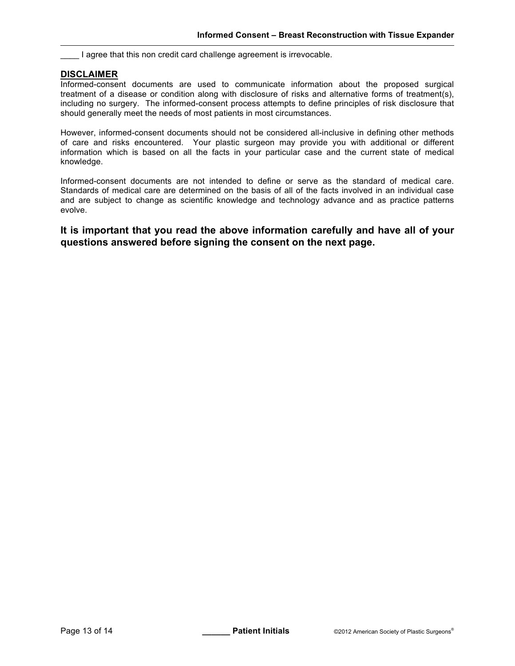\_\_\_\_ I agree that this non credit card challenge agreement is irrevocable.

# **DISCLAIMER**

Informed-consent documents are used to communicate information about the proposed surgical treatment of a disease or condition along with disclosure of risks and alternative forms of treatment(s), including no surgery. The informed-consent process attempts to define principles of risk disclosure that should generally meet the needs of most patients in most circumstances.

However, informed-consent documents should not be considered all-inclusive in defining other methods of care and risks encountered. Your plastic surgeon may provide you with additional or different information which is based on all the facts in your particular case and the current state of medical knowledge.

Informed-consent documents are not intended to define or serve as the standard of medical care. Standards of medical care are determined on the basis of all of the facts involved in an individual case and are subject to change as scientific knowledge and technology advance and as practice patterns evolve.

**It is important that you read the above information carefully and have all of your questions answered before signing the consent on the next page.**